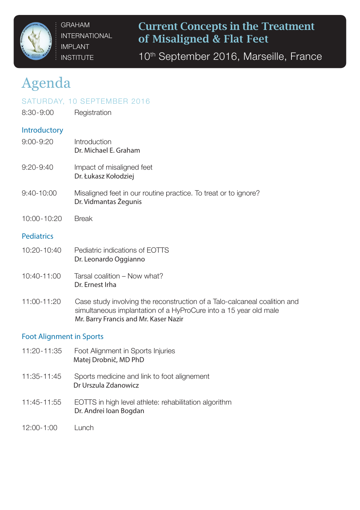

GRAHAM INTERNATIONAL IMPLANT **INSTITUTE** 

Current Concepts in the Treatment of Misaligned & Flat Feet

10<sup>th</sup> September 2016, Marseille, France

# Agenda

# SATURDAY, 10 SEPTEMBER 2016

8:30-9:00 Registration

## **Introductory**

- 9:00-9:20 Introduction Dr. Michael E. Graham 9:20-9:40 Impact of misaligned feet Dr. Łukasz Kołodziej
- 9:40-10:00 Misaligned feet in our routine practice. To treat or to ignore? Dr. Vidmantas Žegunis
- 10:00-10:20 Break

## **Pediatrics**

- 10:20-10:40 Pediatric indications of EOTTS Dr. Leonardo Oggianno
- 10:40-11:00 Tarsal coalition Now what? Dr. Ernest Irha
- 11:00-11:20 Case study involving the reconstruction of a Talo-calcaneal coalition and simultaneous implantation of a HyProCure into a 15 year old male Mr. Barry Francis and Mr. Kaser Nazir

#### Foot Alignment in Sports

- 11:20-11:35 Foot Alignment in Sports Injuries Matej Drobnič, MD PhD 11:35-11:45 Sports medicine and link to foot alignement Dr Urszula Zdanowicz 11:45-11:55 EOTTS in high level athlete: rehabilitation algorithm Dr. Andrei Ioan Bogdan
- 12:00-1:00 Lunch